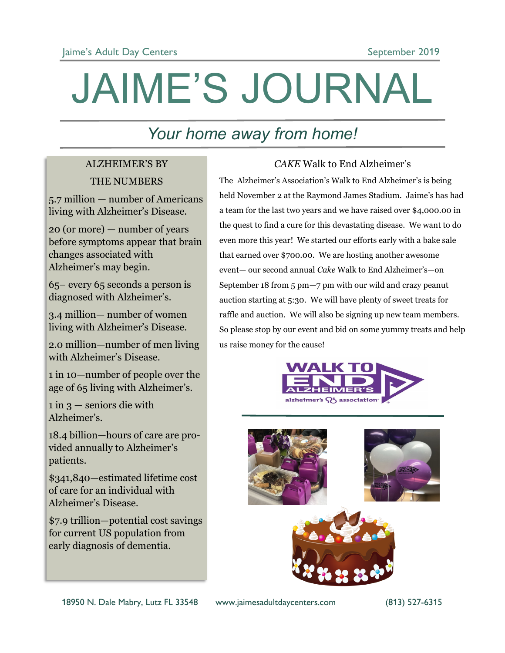# JAIME'S JOURNAL

### *Your home away from home!*

### ALZHEIMER'S BY THE NUMBERS

5.7 million — number of Americans living with Alzheimer's Disease.

20 (or more) — number of years before symptoms appear that brain changes associated with Alzheimer's may begin.

65– every 65 seconds a person is diagnosed with Alzheimer's.

3.4 million— number of women living with Alzheimer's Disease.

2.0 million—number of men living with Alzheimer's Disease.

1 in 10—number of people over the age of 65 living with Alzheimer's.

 $1$  in  $3$  — seniors die with Alzheimer's.

18.4 billion—hours of care are provided annually to Alzheimer's patients.

\$341,840—estimated lifetime cost of care for an individual with Alzheimer's Disease.

\$7.9 trillion—potential cost savings for current US population from early diagnosis of dementia.

### *CAKE* Walk to End Alzheimer's

The Alzheimer's Association's Walk to End Alzheimer's is being held November 2 at the Raymond James Stadium. Jaime's has had a team for the last two years and we have raised over \$4,000.00 in the quest to find a cure for this devastating disease. We want to do even more this year! We started our efforts early with a bake sale that earned over \$700.00. We are hosting another awesome event— our second annual *Cake* Walk to End Alzheimer's—on September 18 from 5 pm—7 pm with our wild and crazy peanut auction starting at 5:30. We will have plenty of sweet treats for raffle and auction. We will also be signing up new team members. So please stop by our event and bid on some yummy treats and help us raise money for the cause!



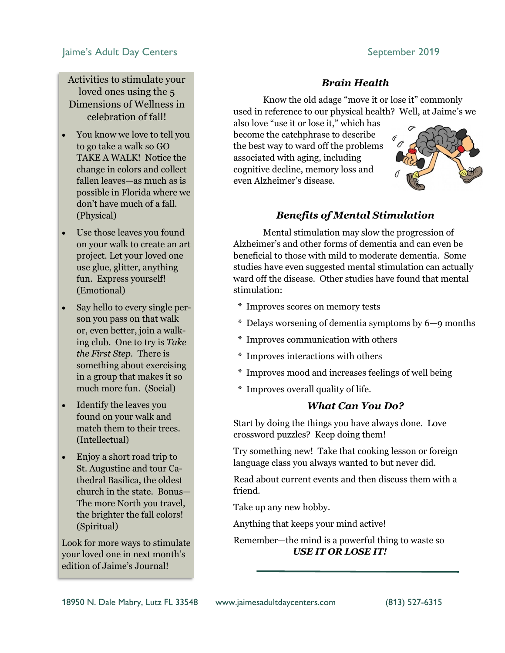#### Jaime's Adult Day Centers **September 2019**

Activities to stimulate your loved ones using the 5 Dimensions of Wellness in celebration of fall!

- You know we love to tell you to go take a walk so GO TAKE A WALK! Notice the change in colors and collect fallen leaves—as much as is possible in Florida where we don't have much of a fall. (Physical)
- Use those leaves you found on your walk to create an art project. Let your loved one use glue, glitter, anything fun. Express yourself! (Emotional)
- Say hello to every single person you pass on that walk or, even better, join a walking club. One to try is *Take the First Step.* There is something about exercising in a group that makes it so much more fun. (Social)
- Identify the leaves you found on your walk and match them to their trees. (Intellectual)
- Enjoy a short road trip to St. Augustine and tour Cathedral Basilica, the oldest church in the state. Bonus— The more North you travel, the brighter the fall colors! (Spiritual)

Look for more ways to stimulate your loved one in next month's edition of Jaime's Journal!

*Brain Health*

Know the old adage "move it or lose it" commonly used in reference to our physical health? Well, at Jaime's we

also love "use it or lose it," which has become the catchphrase to describe the best way to ward off the problems associated with aging, including cognitive decline, memory loss and even Alzheimer's disease.



#### *Benefits of Mental Stimulation*

Mental stimulation may slow the progression of Alzheimer's and other forms of dementia and can even be beneficial to those with mild to moderate dementia. Some studies have even suggested mental stimulation can actually ward off the disease. Other studies have found that mental stimulation:

- \* Improves scores on memory tests
- \* Delays worsening of dementia symptoms by 6—9 months
- \* Improves communication with others
- \* Improves interactions with others
- \* Improves mood and increases feelings of well being
- \* Improves overall quality of life.

#### *What Can You Do?*

Start by doing the things you have always done. Love crossword puzzles? Keep doing them!

Try something new! Take that cooking lesson or foreign language class you always wanted to but never did.

Read about current events and then discuss them with a friend.

Take up any new hobby.

Anything that keeps your mind active!

Remember—the mind is a powerful thing to waste so

*USE IT OR LOSE IT!*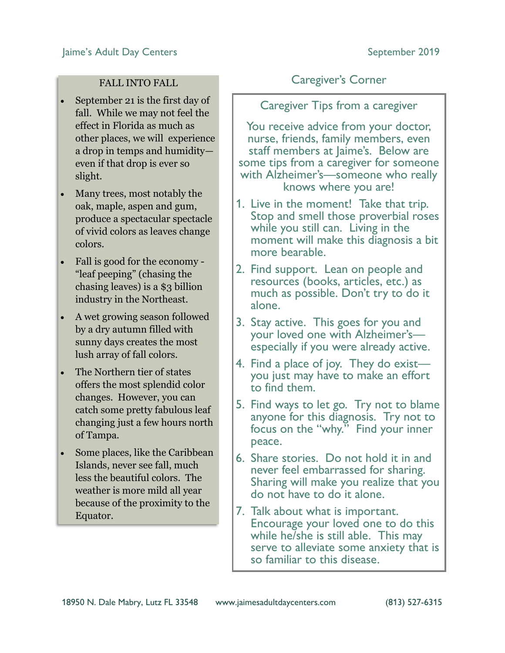#### FALL INTO FALL

- September 21 is the first day of fall. While we may not feel the effect in Florida as much as other places, we will experience a drop in temps and humidity even if that drop is ever so slight.
- Many trees, most notably the oak, maple, aspen and gum, produce a spectacular spectacle of vivid colors as leaves change colors.
- Fall is good for the economy "leaf peeping" (chasing the chasing leaves) is a \$3 billion industry in the Northeast.
- A wet growing season followed by a dry autumn filled with sunny days creates the most lush array of fall colors.
- The Northern tier of states offers the most splendid color changes. However, you can catch some pretty fabulous leaf changing just a few hours north of Tampa.
- Some places, like the Caribbean Islands, never see fall, much less the beautiful colors. The weather is more mild all year because of the proximity to the Equator.

### Caregiver's Corner

Caregiver Tips from a caregiver

You receive advice from your doctor, nurse, friends, family members, even staff members at Jaime's. Below are some tips from a caregiver for someone with Alzheimer's—someone who really knows where you are!

- 1. Live in the moment! Take that trip. Stop and smell those proverbial roses while you still can. Living in the moment will make this diagnosis a bit more bearable.
- 2. Find support. Lean on people and resources (books, articles, etc.) as much as possible. Don't try to do it alone.
- 3. Stay active. This goes for you and your loved one with Alzheimer's especially if you were already active.
- 4. Find a place of joy. They do exist you just may have to make an effort to find them.
- 5. Find ways to let go. Try not to blame anyone for this diagnosis. Try not to focus on the "why." Find your inner peace.
- 6. Share stories. Do not hold it in and never feel embarrassed for sharing. Sharing will make you realize that you do not have to do it alone.
- 7. Talk about what is important. Encourage your loved one to do this while he/she is still able. This may serve to alleviate some anxiety that is so familiar to this disease.